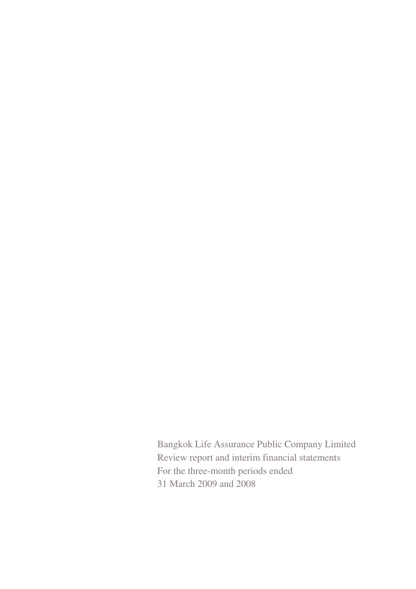Bangkok Life Assurance Public Company Limited Review report and interim financial statements For the three-month periods ended 31 March 2009 and 2008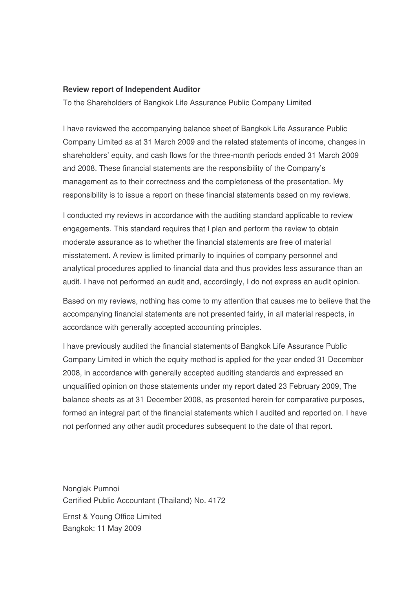#### **Review report of Independent Auditor**

To the Shareholders of Bangkok Life Assurance Public Company Limited

I have reviewed the accompanying balance sheet of Bangkok Life Assurance Public Company Limited as at 31 March 2009 and the related statements of income, changes in shareholders' equity, and cash flows for the three-month periods ended 31 March 2009 and 2008. These financial statements are the responsibility of the Company's management as to their correctness and the completeness of the presentation. My responsibility is to issue a report on these financial statements based on my reviews.

I conducted my reviews in accordance with the auditing standard applicable to review engagements. This standard requires that I plan and perform the review to obtain moderate assurance as to whether the financial statements are free of material misstatement. A review is limited primarily to inquiries of company personnel and analytical procedures applied to financial data and thus provides less assurance than an audit. I have not performed an audit and, accordingly, I do not express an audit opinion.

Based on my reviews, nothing has come to my attention that causes me to believe that the accompanying financial statements are not presented fairly, in all material respects, in accordance with generally accepted accounting principles.

I have previously audited the financial statements of Bangkok Life Assurance Public Company Limited in which the equity method is applied for the year ended 31 December 2008, in accordance with generally accepted auditing standards and expressed an unqualified opinion on those statements under my report dated 23 February 2009, The balance sheets as at 31 December 2008, as presented herein for comparative purposes, formed an integral part of the financial statements which I audited and reported on. I have not performed any other audit procedures subsequent to the date of that report.

Nonglak Pumnoi Certified Public Accountant (Thailand) No. 4172 Ernst & Young Office Limited Bangkok: 11 May 2009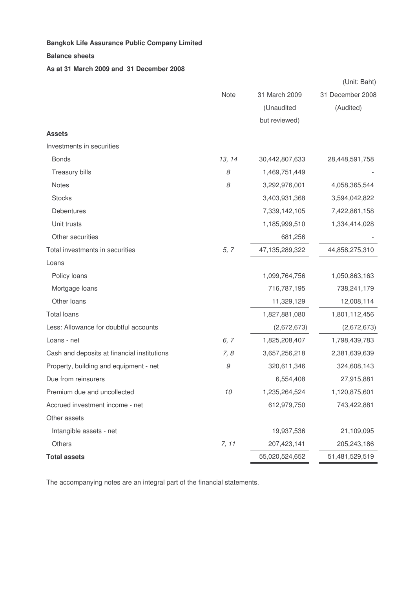#### **Balance sheets**

#### **As at 31 March 2009 and 31 December 2008**

|                                             |             |                | (Unit: Baht)     |
|---------------------------------------------|-------------|----------------|------------------|
|                                             | <b>Note</b> | 31 March 2009  | 31 December 2008 |
|                                             |             | (Unaudited     | (Audited)        |
|                                             |             | but reviewed)  |                  |
| <b>Assets</b>                               |             |                |                  |
| Investments in securities                   |             |                |                  |
| <b>Bonds</b>                                | 13, 14      | 30,442,807,633 | 28,448,591,758   |
| Treasury bills                              | 8           | 1,469,751,449  |                  |
| Notes                                       | 8           | 3,292,976,001  | 4,058,365,544    |
| <b>Stocks</b>                               |             | 3,403,931,368  | 3,594,042,822    |
| Debentures                                  |             | 7,339,142,105  | 7,422,861,158    |
| Unit trusts                                 |             | 1,185,999,510  | 1,334,414,028    |
| Other securities                            |             | 681,256        |                  |
| Total investments in securities             | 5, 7        | 47,135,289,322 | 44,858,275,310   |
| Loans                                       |             |                |                  |
| Policy loans                                |             | 1,099,764,756  | 1,050,863,163    |
| Mortgage loans                              |             | 716,787,195    | 738,241,179      |
| Other loans                                 |             | 11,329,129     | 12,008,114       |
| <b>Total loans</b>                          |             | 1,827,881,080  | 1,801,112,456    |
| Less: Allowance for doubtful accounts       |             | (2,672,673)    | (2,672,673)      |
| Loans - net                                 | 6, 7        | 1,825,208,407  | 1,798,439,783    |
| Cash and deposits at financial institutions | 7, 8        | 3,657,256,218  | 2,381,639,639    |
| Property, building and equipment - net      | 9           | 320,611,346    | 324,608,143      |
| Due from reinsurers                         |             | 6,554,408      | 27,915,881       |
| Premium due and uncollected                 | 10          | 1,235,264,524  | 1,120,875,601    |
| Accrued investment income - net             |             | 612,979,750    | 743,422,881      |
| Other assets                                |             |                |                  |
| Intangible assets - net                     |             | 19,937,536     | 21,109,095       |
| Others                                      | 7, 11       | 207,423,141    | 205,243,186      |
| <b>Total assets</b>                         |             | 55,020,524,652 | 51,481,529,519   |

The accompanying notes are an integral part of the financial statements.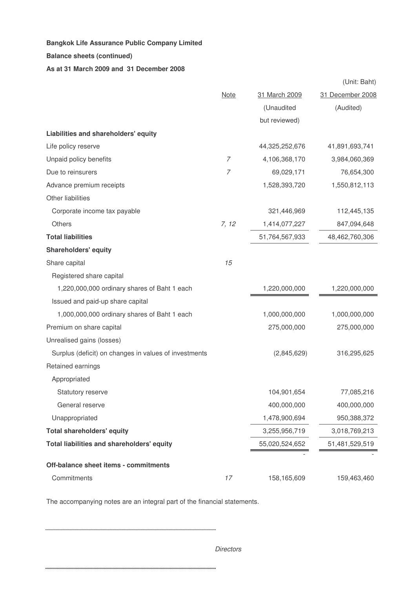#### **Balance sheets (continued)**

#### **As at 31 March 2009 and 31 December 2008**

|                                                       |                |                | (Unit: Baht)     |
|-------------------------------------------------------|----------------|----------------|------------------|
|                                                       | <b>Note</b>    | 31 March 2009  | 31 December 2008 |
|                                                       |                | (Unaudited     | (Audited)        |
|                                                       |                | but reviewed)  |                  |
| Liabilities and shareholders' equity                  |                |                |                  |
| Life policy reserve                                   |                | 44,325,252,676 | 41,891,693,741   |
| Unpaid policy benefits                                | 7              | 4,106,368,170  | 3,984,060,369    |
| Due to reinsurers                                     | $\overline{7}$ | 69,029,171     | 76,654,300       |
| Advance premium receipts                              |                | 1,528,393,720  | 1,550,812,113    |
| Other liabilities                                     |                |                |                  |
| Corporate income tax payable                          |                | 321,446,969    | 112,445,135      |
| Others                                                | 7, 12          | 1,414,077,227  | 847,094,648      |
| <b>Total liabilities</b>                              |                | 51,764,567,933 | 48,462,760,306   |
| <b>Shareholders' equity</b>                           |                |                |                  |
| Share capital                                         | 15             |                |                  |
| Registered share capital                              |                |                |                  |
| 1,220,000,000 ordinary shares of Baht 1 each          |                | 1,220,000,000  | 1,220,000,000    |
| Issued and paid-up share capital                      |                |                |                  |
| 1,000,000,000 ordinary shares of Baht 1 each          |                | 1,000,000,000  | 1,000,000,000    |
| Premium on share capital                              |                | 275,000,000    | 275,000,000      |
| Unrealised gains (losses)                             |                |                |                  |
| Surplus (deficit) on changes in values of investments |                | (2,845,629)    | 316,295,625      |
| Retained earnings                                     |                |                |                  |
| Appropriated                                          |                |                |                  |
| Statutory reserve                                     |                | 104,901,654    | 77,085,216       |
| General reserve                                       |                | 400,000,000    | 400,000,000      |
| Unappropriated                                        |                | 1,478,900,694  | 950,388,372      |
| <b>Total shareholders' equity</b>                     |                | 3,255,956,719  | 3,018,769,213    |
| Total liabilities and shareholders' equity            |                | 55,020,524,652 | 51,481,529,519   |
| Off-balance sheet items - commitments                 |                |                |                  |
| Commitments                                           | 17             | 158,165,609    | 159,463,460      |

The accompanying notes are an integral part of the financial statements.

*Directors*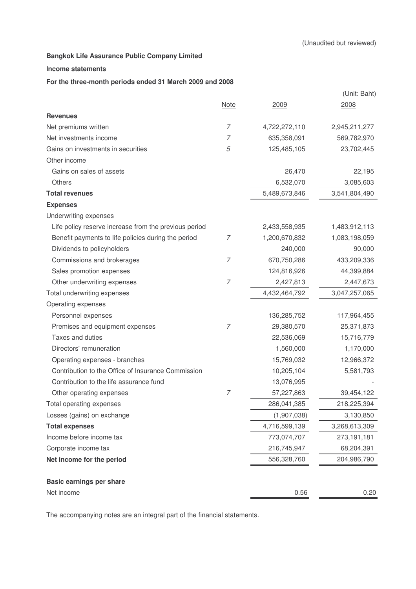#### **Income statements**

#### **For the three-month periods ended 31 March 2009 and 2008**

|                                                       |                |               | (Unit: Baht)  |
|-------------------------------------------------------|----------------|---------------|---------------|
|                                                       | <b>Note</b>    | 2009          | 2008          |
| <b>Revenues</b>                                       |                |               |               |
| Net premiums written                                  | 7              | 4,722,272,110 | 2,945,211,277 |
| Net investments income                                | 7              | 635,358,091   | 569,782,970   |
| Gains on investments in securities                    | 5              | 125,485,105   | 23,702,445    |
| Other income                                          |                |               |               |
| Gains on sales of assets                              |                | 26,470        | 22,195        |
| <b>Others</b>                                         |                | 6,532,070     | 3,085,603     |
| <b>Total revenues</b>                                 |                | 5,489,673,846 | 3,541,804,490 |
| <b>Expenses</b>                                       |                |               |               |
| Underwriting expenses                                 |                |               |               |
| Life policy reserve increase from the previous period |                | 2,433,558,935 | 1,483,912,113 |
| Benefit payments to life policies during the period   | 7              | 1,200,670,832 | 1,083,198,059 |
| Dividends to policyholders                            |                | 240,000       | 90,000        |
| Commissions and brokerages                            | 7              | 670,750,286   | 433,209,336   |
| Sales promotion expenses                              |                | 124,816,926   | 44,399,884    |
| Other underwriting expenses                           | $\overline{7}$ | 2,427,813     | 2,447,673     |
| Total underwriting expenses                           |                | 4,432,464,792 | 3,047,257,065 |
| Operating expenses                                    |                |               |               |
| Personnel expenses                                    |                | 136,285,752   | 117,964,455   |
| Premises and equipment expenses                       | 7              | 29,380,570    | 25,371,873    |
| Taxes and duties                                      |                | 22,536,069    | 15,716,779    |
| Directors' remuneration                               |                | 1,560,000     | 1,170,000     |
| Operating expenses - branches                         |                | 15,769,032    | 12,966,372    |
| Contribution to the Office of Insurance Commission    |                | 10,205,104    | 5,581,793     |
| Contribution to the life assurance fund               |                | 13,076,995    |               |
| Other operating expenses                              | 7              | 57,227,863    | 39,454,122    |
| Total operating expenses                              |                | 286,041,385   | 218,225,394   |
| Losses (gains) on exchange                            |                | (1,907,038)   | 3,130,850     |
| <b>Total expenses</b>                                 |                | 4,716,599,139 | 3,268,613,309 |
| Income before income tax                              |                | 773,074,707   | 273,191,181   |
| Corporate income tax                                  |                | 216,745,947   | 68,204,391    |
| Net income for the period                             |                | 556,328,760   | 204,986,790   |
| <b>Basic earnings per share</b>                       |                |               |               |
| Net income                                            |                | 0.56          | 0.20          |

The accompanying notes are an integral part of the financial statements.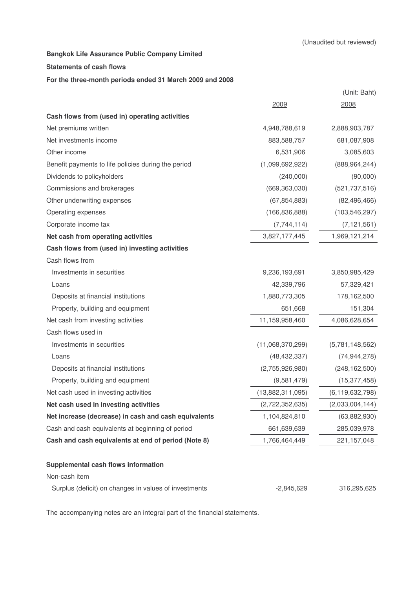#### **Statements of cash flows**

#### **For the three-month periods ended 31 March 2009 and 2008**

|                                                       |                  | (Unit: Baht)       |
|-------------------------------------------------------|------------------|--------------------|
|                                                       | 2009             | 2008               |
| Cash flows from (used in) operating activities        |                  |                    |
| Net premiums written                                  | 4,948,788,619    | 2,888,903,787      |
| Net investments income                                | 883,588,757      | 681,087,908        |
| Other income                                          | 6,531,906        | 3,085,603          |
| Benefit payments to life policies during the period   | (1,099,692,922)  | (888, 964, 244)    |
| Dividends to policyholders                            | (240,000)        | (90,000)           |
| Commissions and brokerages                            | (669, 363, 030)  | (521, 737, 516)    |
| Other underwriting expenses                           | (67, 854, 883)   | (82, 496, 466)     |
| Operating expenses                                    | (166, 836, 888)  | (103, 546, 297)    |
| Corporate income tax                                  | (7,744,114)      | (7, 121, 561)      |
| Net cash from operating activities                    | 3,827,177,445    | 1,969,121,214      |
| Cash flows from (used in) investing activities        |                  |                    |
| Cash flows from                                       |                  |                    |
| Investments in securities                             | 9,236,193,691    | 3,850,985,429      |
| Loans                                                 | 42,339,796       | 57,329,421         |
| Deposits at financial institutions                    | 1,880,773,305    | 178,162,500        |
| Property, building and equipment                      | 651,668          | 151,304            |
| Net cash from investing activities                    | 11,159,958,460   | 4,086,628,654      |
| Cash flows used in                                    |                  |                    |
| Investments in securities                             | (11,068,370,299) | (5,781,148,562)    |
| Loans                                                 | (48, 432, 337)   | (74, 944, 278)     |
| Deposits at financial institutions                    | (2,755,926,980)  | (248, 162, 500)    |
| Property, building and equipment                      | (9,581,479)      | (15, 377, 458)     |
| Net cash used in investing activities                 | (13,882,311,095) | (6, 119, 632, 798) |
| Net cash used in investing activities                 | (2,722,352,635)  | (2,033,004,144)    |
| Net increase (decrease) in cash and cash equivalents  | 1,104,824,810    | (63,882,930)       |
| Cash and cash equivalents at beginning of period      | 661,639,639      | 285,039,978        |
| Cash and cash equivalents at end of period (Note 8)   | 1,766,464,449    | 221,157,048        |
| Supplemental cash flows information                   |                  |                    |
| Non-cash item                                         |                  |                    |
| Surplus (deficit) on changes in values of investments | $-2,845,629$     | 316,295,625        |

The accompanying notes are an integral part of the financial statements.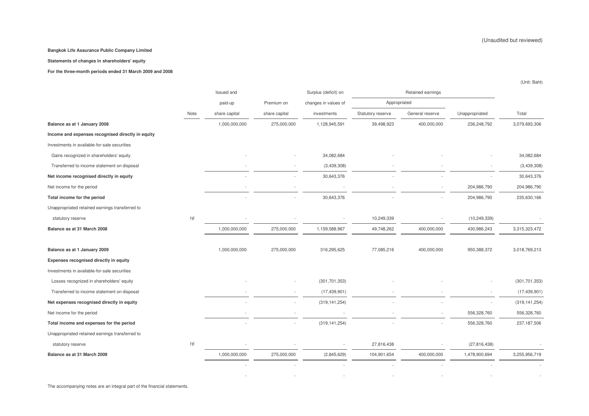#### **Statements of changes in shareholders' equity**

**For the three-month periods ended 31 March 2009 and 2008**

|                                                   |      | Issued and    |               | Surplus (deficit) on |                   | Retained earnings        |                |                 |
|---------------------------------------------------|------|---------------|---------------|----------------------|-------------------|--------------------------|----------------|-----------------|
|                                                   |      | paid-up       | Premium on    | changes in values of | Appropriated      |                          |                |                 |
|                                                   | Note | share capital | share capital | investments          | Statutory reserve | General reserve          | Unappropriated | Total           |
| Balance as at 1 January 2008                      |      | 1,000,000,000 | 275,000,000   | 1,128,945,591        | 39,498,923        | 400,000,000              | 236,248,792    | 3,079,693,306   |
| Income and expenses recognised directly in equity |      |               |               |                      |                   |                          |                |                 |
| Investments in available-for-sale securities      |      |               |               |                      |                   |                          |                |                 |
| Gains recognized in shareholders' equity          |      |               |               | 34,082,684           |                   |                          |                | 34,082,684      |
| Transferred to income statement on disposal       |      |               |               | (3,439,308)          |                   |                          |                | (3,439,308)     |
| Net income recognised directly in equity          |      |               |               | 30,643,376           |                   |                          |                | 30,643,376      |
| Net income for the period                         |      |               |               |                      |                   |                          | 204,986,790    | 204,986,790     |
| Total income for the period                       |      |               |               | 30,643,376           |                   |                          | 204,986,790    | 235,630,166     |
| Unappropriated retained earnings transferred to   |      |               |               |                      |                   |                          |                |                 |
| statutory reserve                                 | 16   |               |               |                      | 10,249,339        |                          | (10, 249, 339) |                 |
| Balance as at 31 March 2008                       |      | 1,000,000,000 | 275,000,000   | 1,159,588,967        | 49,748,262        | 400,000,000              | 430,986,243    | 3,315,323,472   |
|                                                   |      |               |               |                      |                   |                          |                |                 |
| Balance as at 1 January 2009                      |      | 1,000,000,000 | 275,000,000   | 316,295,625          | 77,085,216        | 400,000,000              | 950,388,372    | 3,018,769,213   |
| Expenses recognised directly in equity            |      |               |               |                      |                   |                          |                |                 |
| Investments in available-for-sale securities      |      |               |               |                      |                   |                          |                |                 |
| Losses recognized in shareholders' equity         |      |               |               | (301, 701, 353)      |                   |                          |                | (301, 701, 353) |
| Transferred to income statement on disposal       |      |               |               | (17, 439, 901)       |                   |                          |                | (17, 439, 901)  |
| Net expenses recognised directly in equity        |      |               |               | (319, 141, 254)      |                   |                          |                | (319, 141, 254) |
| Net income for the period                         |      |               |               |                      |                   |                          | 556,328,760    | 556,328,760     |
| Total income and expenses for the period          |      |               |               | (319, 141, 254)      |                   |                          | 556,328,760    | 237, 187, 506   |
| Unappropriated retained earnings transferred to   |      |               |               |                      |                   |                          |                |                 |
| statutory reserve                                 | 16   |               |               |                      | 27,816,438        | $\overline{\phantom{a}}$ | (27, 816, 438) |                 |
| Balance as at 31 March 2009                       |      | 1,000,000,000 | 275,000,000   | (2,845,629)          | 104,901,654       | 400,000,000              | 1,478,900,694  | 3,255,956,719   |
|                                                   |      |               |               |                      |                   |                          |                |                 |
|                                                   |      |               |               |                      |                   |                          |                |                 |

(Unit: Baht)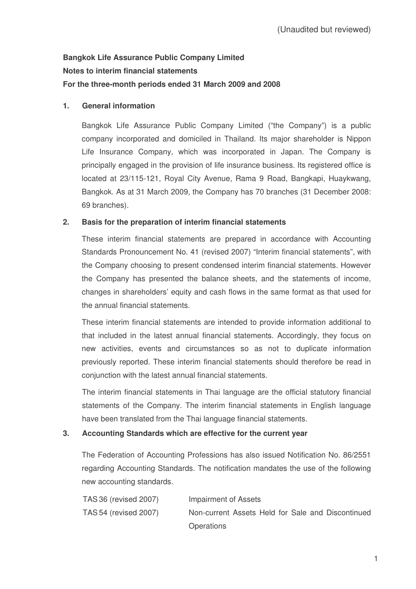# **Bangkok Life Assurance Public Company Limited Notes to interim financial statements For the three-month periods ended 31 March 2009 and 2008**

# **1. General information**

Bangkok Life Assurance Public Company Limited ("the Company") is a public company incorporated and domiciled in Thailand. Its major shareholder is Nippon Life Insurance Company, which was incorporated in Japan. The Company is principally engaged in the provision of life insurance business. Its registered office is located at 23/115-121, Royal City Avenue, Rama 9 Road, Bangkapi, Huaykwang, Bangkok. As at 31 March 2009, the Company has 70 branches (31 December 2008: 69 branches).

# **2. Basis for the preparation of interim financial statements**

These interim financial statements are prepared in accordance with Accounting Standards Pronouncement No. 41 (revised 2007) "Interim financial statements", with the Company choosing to present condensed interim financial statements. However the Company has presented the balance sheets, and the statements of income, changes in shareholders' equity and cash flows in the same format as that used for the annual financial statements.

These interim financial statements are intended to provide information additional to that included in the latest annual financial statements. Accordingly, they focus on new activities, events and circumstances so as not to duplicate information previously reported. These interim financial statements should therefore be read in conjunction with the latest annual financial statements.

The interim financial statements in Thai language are the official statutory financial statements of the Company. The interim financial statements in English language have been translated from the Thai language financial statements.

# **3. Accounting Standards which are effective for the current year**

The Federation of Accounting Professions has also issued Notification No. 86/2551 regarding Accounting Standards. The notification mandates the use of the following new accounting standards.

| <b>TAS 36 (revised 2007)</b> | Impairment of Assets                              |
|------------------------------|---------------------------------------------------|
| <b>TAS 54 (revised 2007)</b> | Non-current Assets Held for Sale and Discontinued |
|                              | <b>Operations</b>                                 |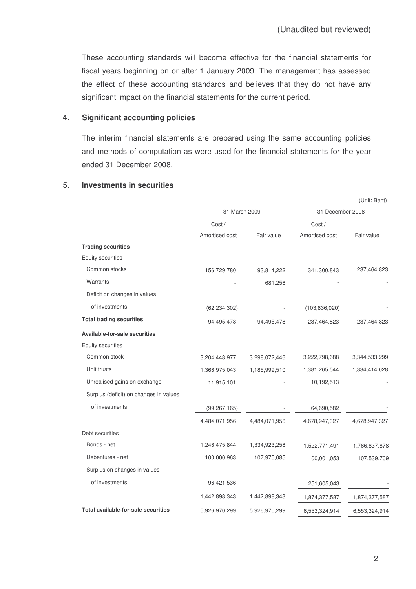These accounting standards will become effective for the financial statements for fiscal years beginning on or after 1 January 2009. The management has assessed the effect of these accounting standards and believes that they do not have any significant impact on the financial statements for the current period.

#### **4. Significant accounting policies**

The interim financial statements are prepared using the same accounting policies and methods of computation as were used for the financial statements for the year ended 31 December 2008.

## **5 Investments in securities**

|                                            |                |               |                  | (Unit: Baht)  |
|--------------------------------------------|----------------|---------------|------------------|---------------|
|                                            | 31 March 2009  |               | 31 December 2008 |               |
|                                            | Cost/          |               | Cost /           |               |
|                                            | Amortised cost | Fair value    | Amortised cost   | Fair value    |
| <b>Trading securities</b>                  |                |               |                  |               |
| <b>Equity securities</b>                   |                |               |                  |               |
| Common stocks                              | 156,729,780    | 93,814,222    | 341,300,843      | 237,464,823   |
| Warrants                                   |                | 681,256       |                  |               |
| Deficit on changes in values               |                |               |                  |               |
| of investments                             | (62, 234, 302) |               | (103, 836, 020)  |               |
| <b>Total trading securities</b>            | 94,495,478     | 94,495,478    | 237,464,823      | 237,464,823   |
| Available-for-sale securities              |                |               |                  |               |
| Equity securities                          |                |               |                  |               |
| Common stock                               | 3,204,448,977  | 3,298,072,446 | 3,222,798,688    | 3,344,533,299 |
| Unit trusts                                | 1,366,975,043  | 1,185,999,510 | 1,381,265,544    | 1,334,414,028 |
| Unrealised gains on exchange               | 11,915,101     |               | 10,192,513       |               |
| Surplus (deficit) on changes in values     |                |               |                  |               |
| of investments                             | (99, 267, 165) |               | 64,690,582       |               |
|                                            | 4,484,071,956  | 4,484,071,956 | 4,678,947,327    | 4,678,947,327 |
| Debt securities                            |                |               |                  |               |
| Bonds - net                                | 1,246,475,844  | 1,334,923,258 | 1,522,771,491    | 1,766,837,878 |
| Debentures - net                           | 100,000,963    | 107,975,085   | 100,001,053      | 107,539,709   |
| Surplus on changes in values               |                |               |                  |               |
| of investments                             | 96,421,536     |               | 251,605,043      |               |
|                                            | 1,442,898,343  | 1,442,898,343 | 1,874,377,587    | 1,874,377,587 |
| <b>Total available-for-sale securities</b> | 5,926,970,299  | 5,926,970,299 | 6,553,324,914    | 6,553,324,914 |

2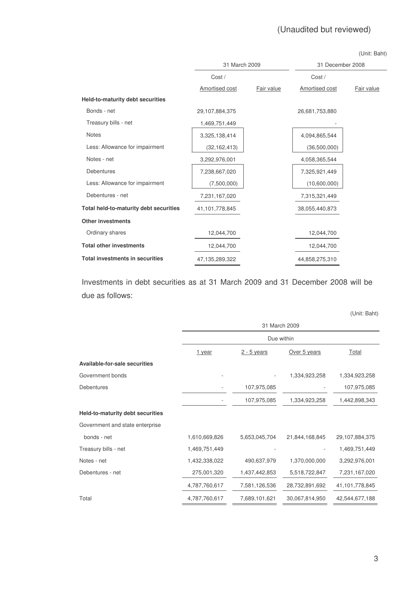| (Unit: Baht) |  |
|--------------|--|
|--------------|--|

|                                        | 31 March 2009  |            | 31 December 2008 |            |
|----------------------------------------|----------------|------------|------------------|------------|
|                                        | Cost/          |            | Cost /           |            |
|                                        | Amortised cost | Fair value | Amortised cost   | Fair value |
| Held-to-maturity debt securities       |                |            |                  |            |
| Bonds - net                            | 29,107,884,375 |            | 26,681,753,880   |            |
| Treasury bills - net                   | 1,469,751,449  |            |                  |            |
| <b>Notes</b>                           | 3,325,138,414  |            | 4,094,865,544    |            |
| Less: Allowance for impairment         | (32, 162, 413) |            | (36,500,000)     |            |
| Notes - net                            | 3,292,976,001  |            | 4,058,365,544    |            |
| <b>Debentures</b>                      | 7,238,667,020  |            | 7,325,921,449    |            |
| Less: Allowance for impairment         | (7,500,000)    |            | (10,600,000)     |            |
| Debentures - net                       | 7,231,167,020  |            | 7,315,321,449    |            |
| Total held-to-maturity debt securities | 41,101,778,845 |            | 38,055,440,873   |            |
| <b>Other investments</b>               |                |            |                  |            |
| Ordinary shares                        | 12,044,700     |            | 12,044,700       |            |
| <b>Total other investments</b>         | 12,044,700     |            | 12,044,700       |            |
| <b>Total investments in securities</b> | 47,135,289,322 |            | 44,858,275,310   |            |

Investments in debt securities as at 31 March 2009 and 31 December 2008 will be due as follows

|                                      |               |               |                | (Unit: Baht)      |  |  |  |
|--------------------------------------|---------------|---------------|----------------|-------------------|--|--|--|
|                                      |               | 31 March 2009 |                |                   |  |  |  |
|                                      |               | Due within    |                |                   |  |  |  |
|                                      | <u>1 year</u> | $2 - 5$ years | Over 5 years   | <b>Total</b>      |  |  |  |
| <b>Available-for-sale securities</b> |               |               |                |                   |  |  |  |
| Government bonds                     |               |               | 1,334,923,258  | 1,334,923,258     |  |  |  |
| <b>Debentures</b>                    |               | 107,975,085   |                | 107,975,085       |  |  |  |
|                                      |               | 107,975,085   | 1,334,923,258  | 1,442,898,343     |  |  |  |
| Held-to-maturity debt securities     |               |               |                |                   |  |  |  |
| Government and state enterprise      |               |               |                |                   |  |  |  |
| bonds - net                          | 1,610,669,826 | 5,653,045,704 | 21,844,168,845 | 29,107,884,375    |  |  |  |
| Treasury bills - net                 | 1,469,751,449 |               |                | 1,469,751,449     |  |  |  |
| Notes - net                          | 1,432,338,022 | 490,637,979   | 1,370,000,000  | 3,292,976,001     |  |  |  |
| Debentures - net                     | 275,001,320   | 1,437,442,853 | 5,518,722,847  | 7,231,167,020     |  |  |  |
|                                      | 4,787,760,617 | 7,581,126,536 | 28,732,891,692 | 41, 101, 778, 845 |  |  |  |
| Total                                | 4,787,760,617 | 7,689,101,621 | 30,067,814,950 | 42,544,677,188    |  |  |  |
|                                      |               |               |                |                   |  |  |  |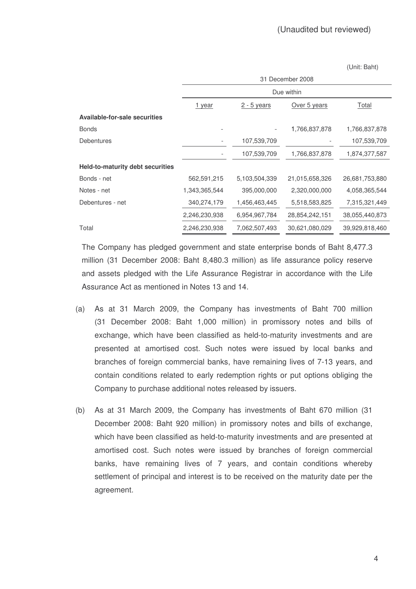(Unit: Baht)

|                                         | 31 December 2008         |               |                |                |  |  |
|-----------------------------------------|--------------------------|---------------|----------------|----------------|--|--|
|                                         |                          |               | Due within     |                |  |  |
|                                         | 1 year                   | $2 - 5$ years | Over 5 years   | Total          |  |  |
| <b>Available-for-sale securities</b>    |                          |               |                |                |  |  |
| <b>Bonds</b>                            |                          |               | 1,766,837,878  | 1,766,837,878  |  |  |
| Debentures                              | $\overline{\phantom{a}}$ | 107,539,709   |                | 107,539,709    |  |  |
|                                         |                          | 107,539,709   | 1,766,837,878  | 1,874,377,587  |  |  |
| <b>Held-to-maturity debt securities</b> |                          |               |                |                |  |  |
| Bonds - net                             | 562,591,215              | 5,103,504,339 | 21,015,658,326 | 26,681,753,880 |  |  |
| Notes - net                             | 1,343,365,544            | 395,000,000   | 2,320,000,000  | 4,058,365,544  |  |  |
| Debentures - net                        | 340,274,179              | 1,456,463,445 | 5,518,583,825  | 7,315,321,449  |  |  |
|                                         | 2,246,230,938            | 6,954,967,784 | 28,854,242,151 | 38,055,440,873 |  |  |
| Total                                   | 2,246,230,938            | 7,062,507,493 | 30,621,080,029 | 39,929,818,460 |  |  |

The Company has pledged government and state enterprise bonds of Baht 8,477.3 million (31 December 2008: Baht 8,480.3 million) as life assurance policy reserve and assets pledged with the Life Assurance Registrar in accordance with the Life Assurance Act as mentioned in Notes 13 and 14.

- (a) As at 31 March 2009, the Company has investments of Baht 700 million (31 December 2008: Baht 1,000 million) in promissory notes and bills of exchange, which have been classified as held-to-maturity investments and are presented at amortised cost. Such notes were issued by local banks and branches of foreign commercial banks, have remaining lives of 7-13 years, and contain conditions related to early redemption rights or put options obliging the Company to purchase additional notes released by issuers.
- (b) As at 31 March 2009, the Company has investments of Baht 670 million (31 December 2008: Baht 920 million) in promissory notes and bills of exchange, which have been classified as held-to-maturity investments and are presented at amortised cost. Such notes were issued by branches of foreign commercial banks, have remaining lives of 7 years, and contain conditions whereby settlement of principal and interest is to be received on the maturity date per the agreement.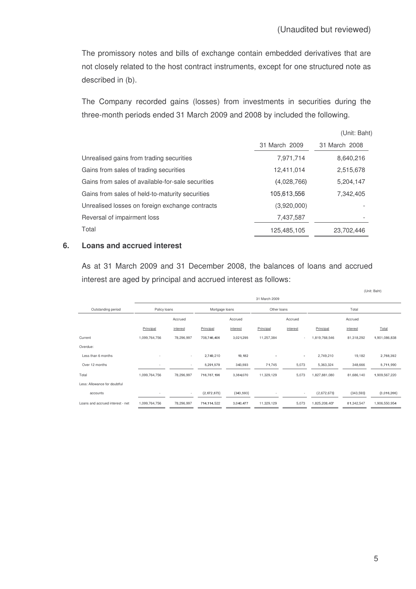The promissory notes and bills of exchange contain embedded derivatives that are not closely related to the host contract instruments, except for one structured note as described in (b).

The Company recorded gains (losses) from investments in securities during the three-month periods ended 31 March 2009 and 2008 by included the following.

|                                                   |               | (Unit: Baht)  |
|---------------------------------------------------|---------------|---------------|
|                                                   | 31 March 2009 | 31 March 2008 |
| Unrealised gains from trading securities          | 7,971,714     | 8,640,216     |
| Gains from sales of trading securities            | 12,411,014    | 2,515,678     |
| Gains from sales of available-for-sale securities | (4,028,766)   | 5,204,147     |
| Gains from sales of held-to-maturity securities   | 105,613,556   | 7,342,405     |
| Unrealised losses on foreign exchange contracts   | (3,920,000)   |               |
| Reversal of impairment loss                       | 7,437,587     |               |
| Total                                             | 125,485,105   | 23,702,446    |

#### **6. Loans and accrued interest**

As at 31 March 2009 and 31 December 2008, the balances of loans and accrued interest are aged by principal and accrued interest as follows:

|                                  | 31 March 2009            |            |                |            |             |          |               |            |               |
|----------------------------------|--------------------------|------------|----------------|------------|-------------|----------|---------------|------------|---------------|
| Outstanding period               | Policy loans             |            | Mortgage loans |            | Other loans |          |               | Total      |               |
|                                  |                          | Accrued    |                | Accrued    |             | Accrued  |               | Accrued    |               |
|                                  | Principal                | interest   | Principal      | interest   | Principal   | interest | Principal     | interest   | Total         |
| Current                          | 1,099,764,756            | 78,296,997 | 708 746,406    | 3,021,295  | 11,257,384  |          | 1,819,768,546 | 81,318,292 | 1,901,086,838 |
| Overdue:                         |                          |            |                |            |             |          |               |            |               |
| Less than 6 months               | $\overline{\phantom{a}}$ | $\sim$     | 2,749,210      | 19,182     |             | $\sim$   | 2,749,210     | 19,182     | 2,768,392     |
| Over 12 months                   | $\overline{\phantom{a}}$ | $\sim$     | 5,291,579      | 343,593    | 71,745      | 5,073    | 5,363,324     | 348,666    | 5,711,990     |
| Total                            | 1,099,764,756            | 78,296,997 | 716,787,196    | 3,384,070  | 11,329,129  | 5,073    | 1,827,881,080 | 81,686,140 | 1,909,567,220 |
| Less: Allowance for doubtful     |                          |            |                |            |             |          |               |            |               |
| accounts                         |                          |            | (2,672,673)    | (343, 593) |             | ۰        | (2,672,673)   | (343,593)  | (3,016,266)   |
| Loans and accrued interest - net | 1,099,764,756            | 78,296,997 | 714,114,522    | 3,040,477  | 11,329,129  | 5,073    | 1,825,208,407 | 81,342,547 | 1,906,550,954 |

(Unit: Baht)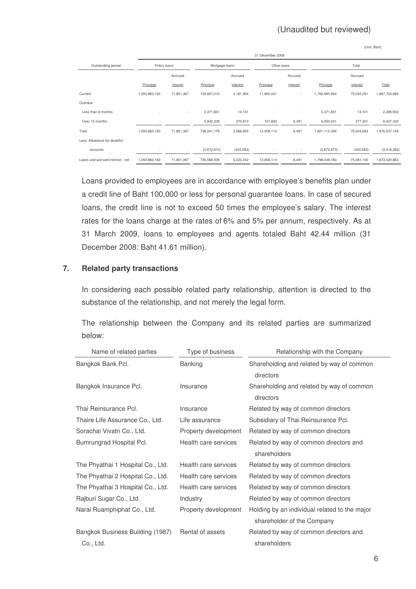(Unit: Baht)

|                                  |                          | 31 December 2008 |                |           |             |                          |               |            |               |
|----------------------------------|--------------------------|------------------|----------------|-----------|-------------|--------------------------|---------------|------------|---------------|
| Outstanding period               | Policy loans             |                  | Mortgage loans |           | Other loans |                          |               | Total      |               |
|                                  |                          | Accrued          |                | Accrued   |             | Accrued                  |               | Accrued    |               |
|                                  | Principal                | interest         | Principal      | interest  | Principal   | interest                 | Principal     | interest   | Total         |
| Current                          | 1,050,863,163            | 71,851,367       | 729,927,010    | 3,181,924 | 11,900,421  | $\overline{\phantom{a}}$ | 1,792,690,594 | 75,033,291 | 1,867,723,885 |
| Overdue:                         |                          |                  |                |           |             |                          |               |            |               |
| Less than 6 months               |                          | ٠                | 2,371,831      | 14,101    | ٠           | ٠                        | 2,371,831     | 14,101     | 2,385,932     |
| Over 12 months                   | ٠                        | ٠                | 5,942,338      | 370,810   | 107,693     | 6,491                    | 6,050,031     | 377,301    | 6,427,332     |
| Total                            | 1,050,863,163            | 71,851,367       | 738,241,179    | 3,566,835 | 12,008,114  | 6,491                    | 1,801,112,456 | 75,424,693 | 1,876,537,149 |
| Less: Allowance for doubtful     |                          |                  |                |           |             |                          |               |            |               |
| accounts                         | $\overline{\phantom{a}}$ | ٠                | (2,672,673)    | (343,593) |             | ٠                        | (2,672,673)   | (343,593)  | (3,016,266)   |
| Loans and accrued interest - net | 1,050,863,163            | 71,851,367       | 735,568,506    | 3,223,242 | 12,008,114  | 6,491                    | 1,798,439,783 | 75,081,100 | 1,873,520,883 |

Loans provided to employees are in accordance with employee's benefits plan under a credit line of Baht 100,000 or less for personal guarantee loans. In case of secured loans, the credit line is not to exceed 50 times the employee's salary. The interest rates for the loans charge at the rates of 6% and 5% per annum, respectively. As at 31 March 2009, loans to employees and agents totaled Baht 42.44 million (31 December 2008: Baht 41.61 million).

## **7. Related party transactions**

In considering each possible related party relationship, attention is directed to the substance of the relationship, and not merely the legal form.

The relationship between the Company and its related parties are summarized below:

| Name of related parties           | Type of business     | Relationship with the Company                          |  |  |
|-----------------------------------|----------------------|--------------------------------------------------------|--|--|
| Bangkok Bank Pcl.                 | <b>Banking</b>       | Shareholding and related by way of common<br>directors |  |  |
| Bangkok Insurance Pcl.            | Insurance            | Shareholding and related by way of common<br>directors |  |  |
| Thai Reinsurance Pcl.             | Insurance            | Related by way of common directors                     |  |  |
| Thaire Life Assurance Co., Ltd.   | Life assurance       | Subsidiary of Thai Reinsurance Pcl.                    |  |  |
| Sorachai Vivatn Co., Ltd.         | Property development | Related by way of common directors                     |  |  |
| Bumrungrad Hospital Pcl.          | Health care services | Related by way of common directors and                 |  |  |
|                                   |                      | shareholders                                           |  |  |
| The Phyathai 1 Hospital Co., Ltd. | Health care services | Related by way of common directors                     |  |  |
| The Phyathai 2 Hospital Co., Ltd. | Health care services | Related by way of common directors                     |  |  |
| The Phyathai 3 Hospital Co., Ltd. | Health care services | Related by way of common directors                     |  |  |
| Rajburi Sugar Co., Ltd.           | Industry             | Related by way of common directors                     |  |  |
| Narai Ruamphiphat Co., Ltd.       | Property development | Holding by an individual related to the major          |  |  |
|                                   |                      | shareholder of the Company                             |  |  |
| Bangkok Business Building (1987)  | Rental of assets     | Related by way of common directors and                 |  |  |
| Co., Ltd.                         |                      | shareholders                                           |  |  |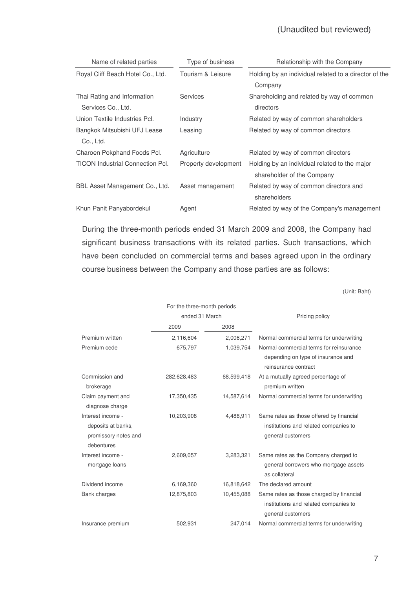| Name of related parties                 | Type of business     | Relationship with the Company                         |  |  |
|-----------------------------------------|----------------------|-------------------------------------------------------|--|--|
| Royal Cliff Beach Hotel Co., Ltd.       | Tourism & Leisure    | Holding by an individual related to a director of the |  |  |
|                                         |                      | Company                                               |  |  |
| Thai Rating and Information             | <b>Services</b>      | Shareholding and related by way of common             |  |  |
| Services Co., Ltd.                      |                      | directors                                             |  |  |
| Union Textile Industries Pcl.           | Industry             | Related by way of common shareholders                 |  |  |
| Bangkok Mitsubishi UFJ Lease            | Leasing              | Related by way of common directors                    |  |  |
| Co., Ltd.                               |                      |                                                       |  |  |
| Charoen Pokphand Foods Pcl.             | Agriculture          | Related by way of common directors                    |  |  |
| <b>TICON Industrial Connection Pcl.</b> | Property development | Holding by an individual related to the major         |  |  |
|                                         |                      | shareholder of the Company                            |  |  |
| BBL Asset Management Co., Ltd.          | Asset management     | Related by way of common directors and                |  |  |
|                                         |                      | shareholders                                          |  |  |
| Khun Panit Panyabordekul                | Agent                | Related by way of the Company's management            |  |  |

During the three-month periods ended 31 March 2009 and 2008, the Company had significant business transactions with its related parties. Such transactions, which have been concluded on commercial terms and bases agreed upon in the ordinary course business between the Company and those parties are as follows:

(Unit: Baht)

|                                      | For the three-month periods |            |                                                                                                        |  |  |
|--------------------------------------|-----------------------------|------------|--------------------------------------------------------------------------------------------------------|--|--|
|                                      | ended 31 March              |            | Pricing policy                                                                                         |  |  |
|                                      | 2009                        | 2008       |                                                                                                        |  |  |
| Premium written                      | 2,116,604                   | 2,006,271  | Normal commercial terms for underwriting                                                               |  |  |
| Premium cede                         | 675,797                     | 1,039,754  | Normal commercial terms for reinsurance<br>depending on type of insurance and<br>reinsurance contract  |  |  |
| Commission and<br>brokerage          | 282,628,483                 | 68,599,418 | At a mutually agreed percentage of<br>premium written                                                  |  |  |
| Claim payment and<br>diagnose charge | 17,350,435                  | 14,587,614 | Normal commercial terms for underwriting                                                               |  |  |
| Interest income -                    | 10,203,908                  | 4,488,911  | Same rates as those offered by financial                                                               |  |  |
| deposits at banks,                   |                             |            | institutions and related companies to                                                                  |  |  |
| promissory notes and<br>debentures   |                             |            | general customers                                                                                      |  |  |
| Interest income -                    | 2,609,057                   | 3,283,321  | Same rates as the Company charged to                                                                   |  |  |
| mortgage loans                       |                             |            | general borrowers who mortgage assets<br>as collateral                                                 |  |  |
| Dividend income                      | 6,169,360                   | 16,818,642 | The declared amount                                                                                    |  |  |
| Bank charges                         | 12,875,803                  | 10,455,088 | Same rates as those charged by financial<br>institutions and related companies to<br>general customers |  |  |
| Insurance premium                    | 502,931                     | 247,014    | Normal commercial terms for underwriting                                                               |  |  |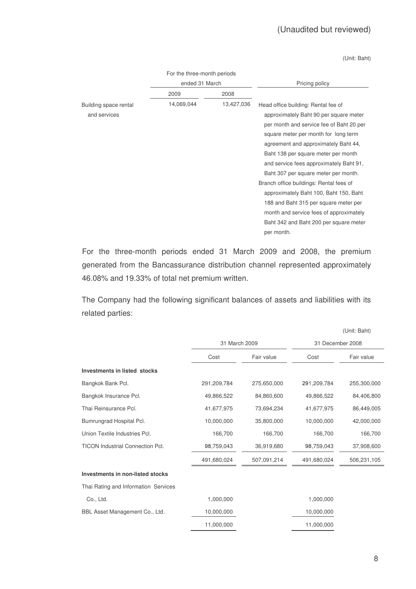(Unit: Baht)

|                                       | For the three-month periods |            |                                                                                                                                                                                                                                                                                                                                                                                                                                                                                                                                                        |  |  |
|---------------------------------------|-----------------------------|------------|--------------------------------------------------------------------------------------------------------------------------------------------------------------------------------------------------------------------------------------------------------------------------------------------------------------------------------------------------------------------------------------------------------------------------------------------------------------------------------------------------------------------------------------------------------|--|--|
|                                       | ended 31 March              |            | Pricing policy                                                                                                                                                                                                                                                                                                                                                                                                                                                                                                                                         |  |  |
|                                       | 2009                        | 2008       |                                                                                                                                                                                                                                                                                                                                                                                                                                                                                                                                                        |  |  |
| Building space rental<br>and services | 14,069,044                  | 13,427,036 | Head office building: Rental fee of<br>approximately Baht 90 per square meter<br>per month and service fee of Baht 20 per<br>square meter per month for long term<br>agreement and approximately Baht 44,<br>Baht 138 per square meter per month<br>and service fees approximately Baht 91,<br>Baht 307 per square meter per month.<br>Branch office buildings: Rental fees of<br>approximately Baht 100, Baht 150, Baht<br>188 and Baht 315 per square meter per<br>month and service fees of approximately<br>Baht 342 and Baht 200 per square meter |  |  |
|                                       |                             |            | per month.                                                                                                                                                                                                                                                                                                                                                                                                                                                                                                                                             |  |  |

For the three-month periods ended 31 March 2009 and 2008, the premium generated from the Bancassurance distribution channel represented approximately 46.08% and 19.33% of total net premium written.

The Company had the following significant balances of assets and liabilities with its related parties:

|                                         |               |             |                  | (Unit: Baht) |
|-----------------------------------------|---------------|-------------|------------------|--------------|
|                                         | 31 March 2009 |             | 31 December 2008 |              |
|                                         | Cost          | Fair value  | Cost             | Fair value   |
| Investments in listed stocks            |               |             |                  |              |
| Bangkok Bank Pcl.                       | 291,209,784   | 275,650,000 | 291,209,784      | 255,300,000  |
| Bangkok Insurance Pcl.                  | 49,866,522    | 84,860,600  | 49,866,522       | 84,406,800   |
| Thai Reinsurance Pcl.                   | 41,677,975    | 73,694,234  | 41,677,975       | 86,449,005   |
| Bumrungrad Hospital Pcl.                | 10,000,000    | 35,800,000  | 10,000,000       | 42,000,000   |
| Union Textile Industries Pcl.           | 166,700       | 166,700     | 166,700          | 166,700      |
| <b>TICON Industrial Connection Pcl.</b> | 98,759,043    | 36,919,680  | 98,759,043       | 37,908,600   |
|                                         | 491,680,024   | 507,091,214 | 491,680,024      | 506,231,105  |
| Investments in non-listed stocks        |               |             |                  |              |
| Thai Rating and Information Services    |               |             |                  |              |
| Co., Ltd.                               | 1,000,000     |             | 1,000,000        |              |
| BBL Asset Management Co., Ltd.          | 10,000,000    |             | 10,000,000       |              |
|                                         | 11,000,000    |             | 11,000,000       |              |
|                                         |               |             |                  |              |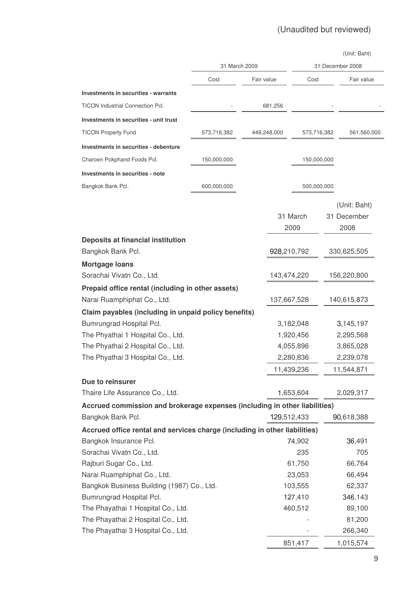|                                                                            |               |            |             |             |        | (Unit: Baht)     |
|----------------------------------------------------------------------------|---------------|------------|-------------|-------------|--------|------------------|
|                                                                            | 31 March 2009 |            |             |             |        | 31 December 2008 |
|                                                                            | Cost          | Fair value |             | Cost        |        | Fair value       |
| Investments in securities - warrants                                       |               |            |             |             |        |                  |
| <b>TICON Industrial Connection Pcl.</b>                                    |               |            | 681,256     |             |        |                  |
| Investments in securities - unit trust                                     |               |            |             |             |        |                  |
| <b>TICON Property Fund</b>                                                 | 573,716,382   |            | 449,248,000 | 573,716,382 |        | 561,560,000      |
| Investments in securities - debenture                                      |               |            |             |             |        |                  |
| Charoen Pokphand Foods Pcl.                                                | 150,000,000   |            |             | 150,000,000 |        |                  |
| Investments in securities - note                                           |               |            |             |             |        |                  |
| Bangkok Bank Pcl.                                                          | 600,000,000   |            |             | 500,000,000 |        |                  |
|                                                                            |               |            |             |             |        |                  |
|                                                                            |               |            |             |             |        | (Unit: Baht)     |
|                                                                            |               |            |             | 31 March    |        | 31 December      |
|                                                                            |               |            |             | 2009        |        | 2008             |
| <b>Deposits at financial institution</b>                                   |               |            |             |             |        |                  |
| Bangkok Bank Pcl.                                                          |               |            | 928,210,792 |             |        | 330,625,505      |
| <b>Mortgage loans</b>                                                      |               |            |             |             |        |                  |
| Sorachai Vivatn Co., Ltd.                                                  |               |            | 143,474,220 |             |        | 156,220,800      |
| Prepaid office rental (including in other assets)                          |               |            |             |             |        |                  |
| Narai Ruamphiphat Co., Ltd.                                                |               |            | 137,667,528 |             |        | 140,615,873      |
| Claim payables (including in unpaid policy benefits)                       |               |            |             |             |        |                  |
| Bumrungrad Hospital Pcl.                                                   |               |            |             | 3,182,048   |        | 3,145,197        |
| The Phyathai 1 Hospital Co., Ltd.                                          |               |            |             | 1,920,456   |        | 2,295,568        |
| The Phyathai 2 Hospital Co., Ltd.                                          |               |            |             | 4,055,896   |        | 3,865,028        |
| The Phyathai 3 Hospital Co., Ltd.                                          |               |            | 2,280,836   |             |        | 2,239,078        |
|                                                                            |               |            | 11,439,236  |             |        | 11,544,871       |
| Due to reinsurer                                                           |               |            |             |             |        |                  |
| Thaire Life Assurance Co., Ltd.                                            |               |            |             | 1,653,604   |        | 2,029,317        |
| Accrued commission and brokerage expenses (including in other liabilities) |               |            |             |             |        |                  |
| Bangkok Bank Pcl.                                                          |               |            | 129,512,433 |             |        | 90,618,388       |
| Accrued office rental and services charge (including in other liabilities) |               |            |             |             |        |                  |
| Bangkok Insurance Pcl.                                                     |               |            |             | 74,902      |        | 36,491           |
| Sorachai Vivatn Co., Ltd.                                                  |               |            |             | 235         |        | 705              |
| Rajburi Sugar Co., Ltd.                                                    |               |            |             | 61,750      |        | 66,764           |
| Narai Ruamphiphat Co., Ltd.                                                |               |            |             | 23,053      |        | 66,494           |
| Bangkok Business Building (1987) Co., Ltd.                                 |               |            | 103,555     |             | 62,337 |                  |
| Bumrungrad Hospital Pcl.                                                   |               |            |             | 127,410     |        | 346,143          |
| The Phayathai 1 Hospital Co., Ltd.                                         |               |            | 460,512     |             | 89,100 |                  |
| The Phayathai 2 Hospital Co., Ltd.                                         |               |            |             |             | 81,200 |                  |
| The Phayathai 3 Hospital Co., Ltd.                                         |               |            |             |             |        | 266,340          |
|                                                                            |               |            |             | 851,417     |        | 1,015,574        |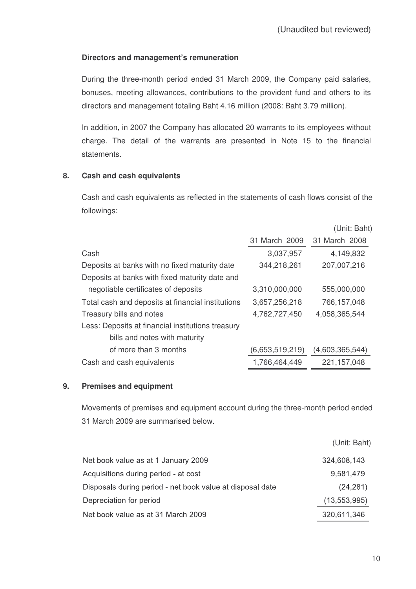# **Directors and management's remuneration**

During the three-month period ended 31 March 2009, the Company paid salaries, bonuses, meeting allowances, contributions to the provident fund and others to its directors and management totaling Baht 4.16 million (2008: Baht 3.79 million).

In addition, in 2007 the Company has allocated 20 warrants to its employees without charge. The detail of the warrants are presented in Note 15 to the financial statements.

# **8. Cash and cash equivalents**

Cash and cash equivalents as reflected in the statements of cash flows consist of the followings:

|                                                   |                 | (Unit: Baht)    |
|---------------------------------------------------|-----------------|-----------------|
|                                                   | 31 March 2009   | 31 March 2008   |
| Cash                                              | 3,037,957       | 4,149,832       |
| Deposits at banks with no fixed maturity date     | 344,218,261     | 207,007,216     |
| Deposits at banks with fixed maturity date and    |                 |                 |
| negotiable certificates of deposits               | 3,310,000,000   | 555,000,000     |
| Total cash and deposits at financial institutions | 3,657,256,218   | 766,157,048     |
| Treasury bills and notes                          | 4,762,727,450   | 4,058,365,544   |
| Less: Deposits at financial institutions treasury |                 |                 |
| bills and notes with maturity                     |                 |                 |
| of more than 3 months                             | (6,653,519,219) | (4,603,365,544) |
| Cash and cash equivalents                         | 1,766,464,449   | 221, 157, 048   |

# **9. Premises and equipment**

Movements of premises and equipment account during the three-month period ended 31 March 2009 are summarised below.

|                                                           | (Unit: Baht)   |
|-----------------------------------------------------------|----------------|
| Net book value as at 1 January 2009                       | 324,608,143    |
| Acquisitions during period - at cost                      | 9,581,479      |
| Disposals during period - net book value at disposal date | (24, 281)      |
| Depreciation for period                                   | (13, 553, 995) |
| Net book value as at 31 March 2009                        | 320,611,346    |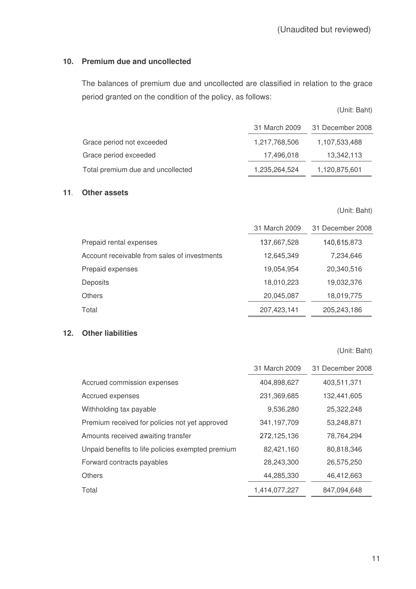# **10. Premium due and uncollected**

The balances of premium due and uncollected are classified in relation to the grace period granted on the condition of the policy, as follows:

|                                   | 31 March 2009 | 31 December 2008 |
|-----------------------------------|---------------|------------------|
| Grace period not exceeded         | 1,217,768,506 | 1,107,533,488    |
| Grace period exceeded             | 17,496,018    | 13,342,113       |
| Total premium due and uncollected | 1,235,264,524 | 1,120,875,601    |

#### **11 Other assets**

(Unit: Baht)

|                                              | 31 March 2009 | 31 December 2008 |
|----------------------------------------------|---------------|------------------|
| Prepaid rental expenses                      | 137,667,528   | 140,615,873      |
| Account receivable from sales of investments | 12,645,349    | 7,234,646        |
| Prepaid expenses                             | 19,054,954    | 20,340,516       |
| <b>Deposits</b>                              | 18,010,223    | 19,032,376       |
| <b>Others</b>                                | 20,045,087    | 18,019,775       |
| Total                                        | 207,423,141   | 205,243,186      |

#### **12. Other liabilities**

(Unit: Baht)

|                                                   | 31 March 2009 | 31 December 2008 |
|---------------------------------------------------|---------------|------------------|
| Accrued commission expenses                       | 404,898,627   | 403,511,371      |
| Accrued expenses                                  | 231,369,685   | 132,441,605      |
| Withholding tax payable                           | 9,536,280     | 25,322,248       |
| Premium received for policies not yet approved    | 341,197,709   | 53,248,871       |
| Amounts received awaiting transfer                | 272,125,136   | 78,764,294       |
| Unpaid benefits to life policies exempted premium | 82,421,160    | 80,818,346       |
| Forward contracts payables                        | 28,243,300    | 26,575,250       |
| <b>Others</b>                                     | 44,285,330    | 46,412,663       |
| Total                                             | 1,414,077,227 | 847,094,648      |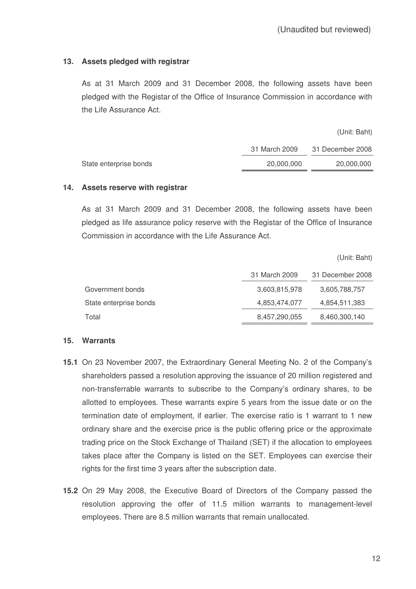## **13. Assets pledged with registrar**

As at 31 March 2009 and 31 December 2008, the following assets have been pledged with the Registar of the Office of Insurance Commission in accordance with the Life Assurance Act.

(Unit: Baht)

|                        | 31 March 2009 | 31 December 2008 |
|------------------------|---------------|------------------|
| State enterprise bonds | 20.000.000    | 20.000.000       |

#### **14. Assets reserve with registrar**

As at 31 March 2009 and 31 December 2008, the following assets have been pledged as life assurance policy reserve with the Registar of the Office of Insurance Commission in accordance with the Life Assurance Act.

(Unit: Baht)

|                        | 31 March 2009 | 31 December 2008 |
|------------------------|---------------|------------------|
| Government bonds       | 3,603,815,978 | 3,605,788,757    |
| State enterprise bonds | 4,853,474,077 | 4,854,511,383    |
| Total                  | 8,457,290,055 | 8,460,300,140    |

#### **15. Warrants**

- **15.1** On 23 November 2007, the Extraordinary General Meeting No. 2 of the Company's shareholders passed a resolution approving the issuance of 20 million registered and non-transferrable warrants to subscribe to the Company's ordinary shares, to be allotted to employees. These warrants expire 5 years from the issue date or on the termination date of employment, if earlier. The exercise ratio is 1 warrant to 1 new ordinary share and the exercise price is the public offering price or the approximate trading price on the Stock Exchange of Thailand (SET) if the allocation to employees takes place after the Company is listed on the SET. Employees can exercise their rights for the first time 3 years after the subscription date.
- **15.2** On 29 May 2008, the Executive Board of Directors of the Company passed the resolution approving the offer of 11.5 million warrants to management-level employees. There are 8.5 million warrants that remain unallocated.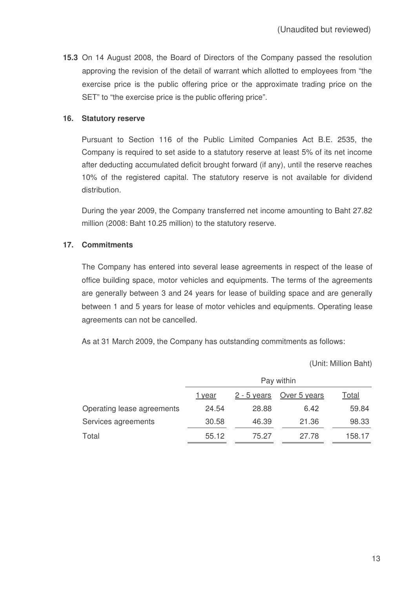**15.3** On 14 August 2008, the Board of Directors of the Company passed the resolution approving the revision of the detail of warrant which allotted to employees from "the exercise price is the public offering price or the approximate trading price on the SET" to "the exercise price is the public offering price".

#### **16. Statutory reserve**

Pursuant to Section 116 of the Public Limited Companies Act B.E. 2535, the Company is required to set aside to a statutory reserve at least 5% of its net income after deducting accumulated deficit brought forward (if any), until the reserve reaches 10% of the registered capital. The statutory reserve is not available for dividend distribution.

During the year 2009, the Company transferred net income amounting to Baht 27.82 million (2008: Baht 10.25 million) to the statutory reserve.

# **17. Commitments**

The Company has entered into several lease agreements in respect of the lease of office building space, motor vehicles and equipments. The terms of the agreements are generally between 3 and 24 years for lease of building space and are generally between 1 and 5 years for lease of motor vehicles and equipments. Operating lease agreements can not be cancelled.

As at 31 March 2009, the Company has outstanding commitments as follows:

(Unit: Million Baht)

|                            | Pay within |               |              |        |
|----------------------------|------------|---------------|--------------|--------|
|                            | 1 year     | $2 - 5$ years | Over 5 years | Total  |
| Operating lease agreements | 24.54      | 28.88         | 6.42         | 59.84  |
| Services agreements        | 30.58      | 46.39         | 21.36        | 98.33  |
| Total                      | 55.12      | 75.27         | 27.78        | 158.17 |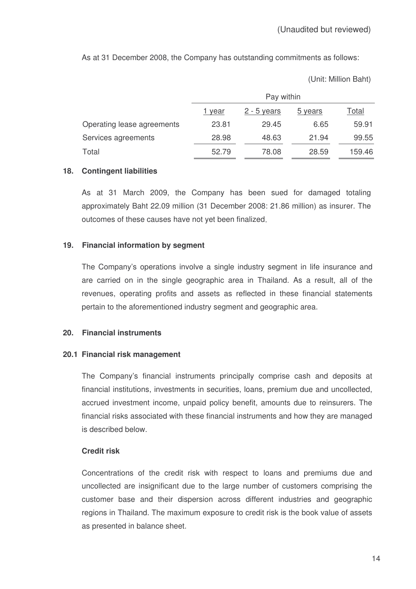As at 31 December 2008, the Company has outstanding commitments as follows:

(Unit: Million Baht)

|                            | Pay within    |               |         |              |
|----------------------------|---------------|---------------|---------|--------------|
|                            | <u>1 year</u> | $2 - 5$ years | 5 years | <u>Total</u> |
| Operating lease agreements | 23.81         | 29.45         | 6.65    | 59.91        |
| Services agreements        | 28.98         | 48.63         | 21.94   | 99.55        |
| Total                      | 52.79         | 78.08         | 28.59   | 159.46       |

#### **18. Contingent liabilities**

As at 31 March 2009, the Company has been sued for damaged totaling approximately Baht 22.09 million (31 December 2008: 21.86 million) as insurer. The outcomes of these causes have not yet been finalized

## **19. Financial information by segment**

The Company's operations involve a single industry segment in life insurance and are carried on in the single geographic area in Thailand. As a result, all of the revenues, operating profits and assets as reflected in these financial statements pertain to the aforementioned industry segment and geographic area.

# **20. Financial instruments**

# **20.1 Financial risk management**

The Company's financial instruments principally comprise cash and deposits at financial institutions, investments in securities, loans, premium due and uncollected, accrued investment income, unpaid policy benefit, amounts due to reinsurers. The financial risks associated with these financial instruments and how they are managed is described below.

# **Credit risk**

Concentrations of the credit risk with respect to loans and premiums due and uncollected are insignificant due to the large number of customers comprising the customer base and their dispersion across different industries and geographic regions in Thailand. The maximum exposure to credit risk is the book value of assets as presented in balance sheet.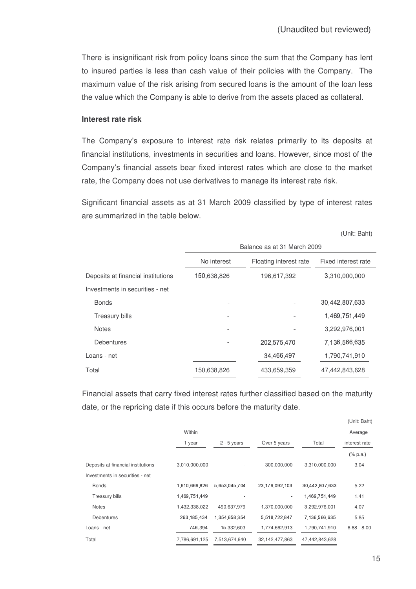There is insignificant risk from policy loans since the sum that the Company has lent to insured parties is less than cash value of their policies with the Company. The maximum value of the risk arising from secured loans is the amount of the loan less the value which the Company is able to derive from the assets placed as collateral.

#### **Interest rate risk**

The Company's exposure to interest rate risk relates primarily to its deposits at financial institutions, investments in securities and loans. However, since most of the Company's financial assets bear fixed interest rates which are close to the market rate, the Company does not use derivatives to manage its interest rate risk.

Significant financial assets as at 31 March 2009 classified by type of interest rates are summarized in the table below.

(Unit: Baht)

|                                    | Balance as at 31 March 2009 |                        |                     |
|------------------------------------|-----------------------------|------------------------|---------------------|
|                                    | No interest                 | Floating interest rate | Fixed interest rate |
| Deposits at financial institutions | 150,638,826                 | 196,617,392            | 3,310,000,000       |
| Investments in securities - net    |                             |                        |                     |
| <b>Bonds</b>                       |                             |                        | 30,442,807,633      |
| <b>Treasury bills</b>              |                             |                        | 1,469,751,449       |
| <b>Notes</b>                       |                             |                        | 3,292,976,001       |
| <b>Debentures</b>                  |                             | 202,575,470            | 7,136,566,635       |
| Loans - net                        |                             | 34,466,497             | 1,790,741,910       |
| Total                              | 150,638,826                 | 433,659,359            | 47,442,843,628      |

Financial assets that carry fixed interest rates further classified based on the maturity date, or the repricing date if this occurs before the maturity date.

|                                    |               |               |                   |                | (Unit: Baht)  |
|------------------------------------|---------------|---------------|-------------------|----------------|---------------|
|                                    | Within        |               |                   |                | Average       |
|                                    | 1 year        | $2 - 5$ years | Over 5 years      | Total          | interest rate |
|                                    |               |               |                   |                | $(\%$ p.a.)   |
| Deposits at financial institutions | 3,010,000,000 |               | 300,000,000       | 3,310,000,000  | 3.04          |
| Investments in securities - net    |               |               |                   |                |               |
| <b>Bonds</b>                       | 1,610,669,826 | 5,653,045,704 | 23,179,092,103    | 30,442,807,633 | 5.22          |
| <b>Treasury bills</b>              | 1,469,751,449 |               | ۰                 | 1,469,751,449  | 1.41          |
| <b>Notes</b>                       | 1,432,338,022 | 490,637,979   | 1,370,000,000     | 3,292,976,001  | 4.07          |
| <b>Debentures</b>                  | 263, 185, 434 | 1,354,658,354 | 5,518,722,847     | 7,136,566,635  | 5.85          |
| Loans - net                        | 746,394       | 15,332,603    | 1,774,662,913     | 1,790,741,910  | $6.88 - 8.00$ |
| Total                              | 7,786,691,125 | 7,513,674,640 | 32, 142, 477, 863 | 47,442,843,628 |               |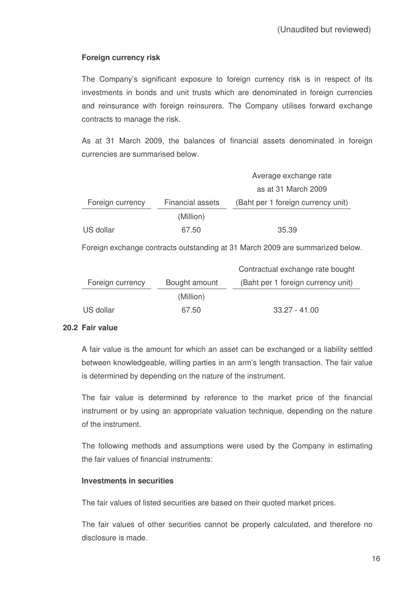# **Foreign currency risk**

The Company's significant exposure to foreign currency risk is in respect of its investments in bonds and unit trusts which are denominated in foreign currencies and reinsurance with foreign reinsurers. The Company utilises forward exchange contracts to manage the risk.

As at 31 March 2009, the balances of financial assets denominated in foreign currencies are summarised below.

|                  |                         | Average exchange rate              |
|------------------|-------------------------|------------------------------------|
|                  |                         | as at 31 March 2009                |
| Foreign currency | <b>Financial assets</b> | (Baht per 1 foreign currency unit) |
|                  | (Million)               |                                    |
| US dollar        | 67.50                   | 35.39                              |

Foreign exchange contracts outstanding at 31 March 2009 are summarized below.

|                  |               | Contractual exchange rate bought   |
|------------------|---------------|------------------------------------|
| Foreign currency | Bought amount | (Baht per 1 foreign currency unit) |
|                  | (Million)     |                                    |
| US dollar        | 67.50         | $33.27 - 41.00$                    |

# **20.2 Fair value**

A fair value is the amount for which an asset can be exchanged or a liability settled between knowledgeable, willing parties in an arm's length transaction. The fair value is determined by depending on the nature of the instrument.

The fair value is determined by reference to the market price of the financial instrument or by using an appropriate valuation technique, depending on the nature of the instrument.

The following methods and assumptions were used by the Company in estimating the fair values of financial instruments:

#### **Investments in securities**

The fair values of listed securities are based on their quoted market prices.

The fair values of other securities cannot be properly calculated, and therefore no disclosure is made.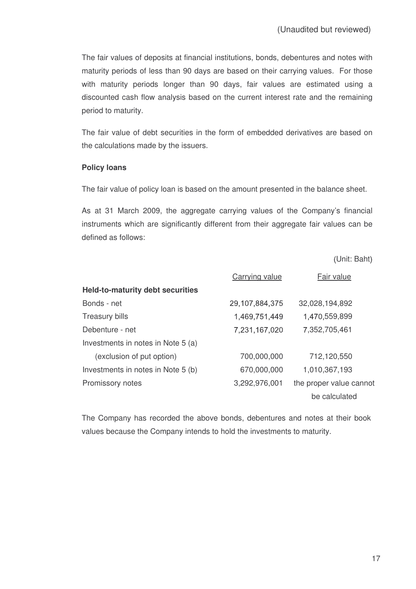The fair values of deposits at financial institutions, bonds, debentures and notes with maturity periods of less than 90 days are based on their carrying values. For those with maturity periods longer than 90 days, fair values are estimated using a discounted cash flow analysis based on the current interest rate and the remaining period to maturity.

The fair value of debt securities in the form of embedded derivatives are based on the calculations made by the issuers.

## **Policy loans**

The fair value of policy loan is based on the amount presented in the balance sheet.

As at 31 March 2009, the aggregate carrying values of the Company's financial instruments which are significantly different from their aggregate fair values can be defined as follows:

Unit: Baht

|                                         | Carrying value | Fair value              |
|-----------------------------------------|----------------|-------------------------|
| <b>Held-to-maturity debt securities</b> |                |                         |
| Bonds - net                             | 29,107,884,375 | 32,028,194,892          |
| <b>Treasury bills</b>                   | 1,469,751,449  | 1,470,559,899           |
| Debenture - net                         | 7,231,167,020  | 7,352,705,461           |
| Investments in notes in Note 5 (a)      |                |                         |
| (exclusion of put option)               | 700,000,000    | 712,120,550             |
| Investments in notes in Note 5 (b)      | 670,000,000    | 1,010,367,193           |
| Promissory notes                        | 3,292,976,001  | the proper value cannot |
|                                         |                | be calculated           |

The Company has recorded the above bonds, debentures and notes at their book values because the Company intends to hold the investments to maturity.